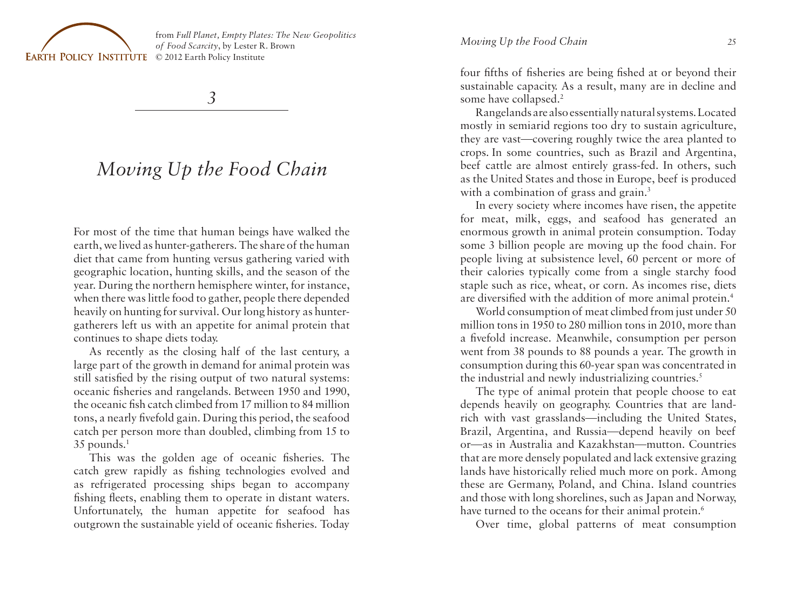*Moving Up the Food Chain 25*



from *[Full Planet, Empty Plates: The New Geopolitics](http://www.earth-policy.org) of Food Scarcity*, by Lester R. Brown

*3*

## *Moving Up the Food Chain*

For most of the time that human beings have walked the earth, we lived as hunter-gatherers. The share of the human diet that came from hunting versus gathering varied with geographic location, hunting skills, and the season of the year. During the northern hemisphere winter, for instance, when there was little food to gather, people there depended heavily on hunting for survival. Our long history as huntergatherers left us with an appetite for animal protein that continues to shape diets today.

As recently as the closing half of the last century, a large part of the growth in demand for animal protein was still satisfied by the rising output of two natural systems: oceanic fisheries and rangelands. Between 1950 and 1990, the oceanic fish catch climbed from 17 million to 84 million tons, a nearly fivefold gain. During this period, the seafood catch per person more than doubled, climbing from 15 to  $35$  pounds.<sup>1</sup>

This was the golden age of oceanic fisheries. The catch grew rapidly as fishing technologies evolved and as refrigerated processing ships began to accompany fishing fleets, enabling them to operate in distant waters. Unfortunately, the human appetite for seafood has outgrown the sustainable yield of oceanic fisheries. Today

four fifths of fisheries are being fished at or beyond their sustainable capacity. As a result, many are in decline and some have collapsed.<sup>2</sup>

Rangelands are also essentially natural systems. Located mostly in semiarid regions too dry to sustain agriculture, they are vast—covering roughly twice the area planted to crops. In some countries, such as Brazil and Argentina, beef cattle are almost entirely grass-fed. In others, such as the United States and those in Europe, beef is produced with a combination of grass and grain.<sup>3</sup>

In every society where incomes have risen, the appetite for meat, milk, eggs, and seafood has generated an enormous growth in animal protein consumption. Today some 3 billion people are moving up the food chain. For people living at subsistence level, 60 percent or more of their calories typically come from a single starchy food staple such as rice, wheat, or corn. As incomes rise, diets are diversified with the addition of more animal protein.4

World consumption of meat climbed from just under 50 million tons in 1950 to 280 million tons in 2010, more than a fivefold increase. Meanwhile, consumption per person went from 38 pounds to 88 pounds a year. The growth in consumption during this 60-year span was concentrated in the industrial and newly industrializing countries.<sup>5</sup>

The type of animal protein that people choose to eat depends heavily on geography. Countries that are landrich with vast grasslands—including the United States, Brazil, Argentina, and Russia—depend heavily on beef or—as in Australia and Kazakhstan—mutton. Countries that are more densely populated and lack extensive grazing lands have historically relied much more on pork. Among these are Germany, Poland, and China. Island countries and those with long shorelines, such as Japan and Norway, have turned to the oceans for their animal protein.<sup>6</sup>

Over time, global patterns of meat consumption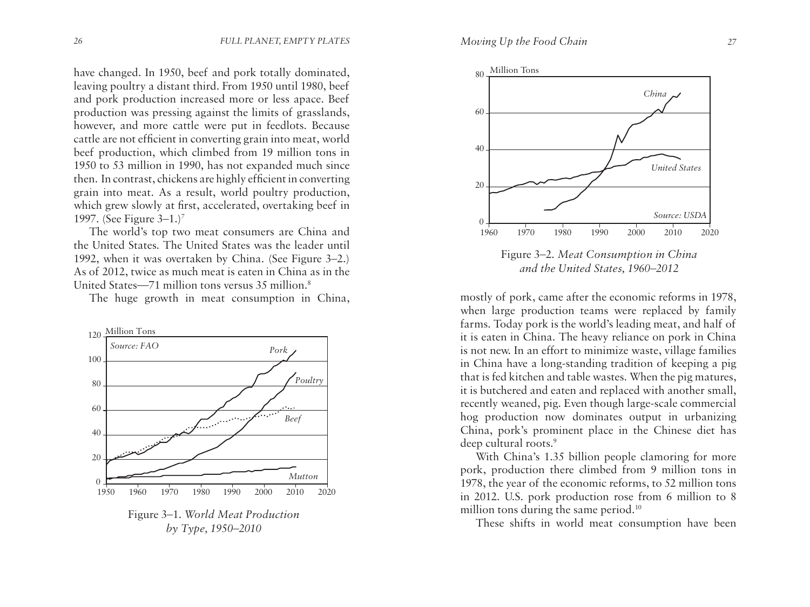have changed. In 1950, beef and pork totally dominated, leaving poultry a distant third. From 1950 until 1980, beef and pork production increased more or less apace. Beef production was pressing against the limits of grasslands, however, and more cattle were put in feedlots. Because cattle are not efficient in converting grain into meat, world beef production, which climbed from 19 million tons in 1950 to 53 million in 1990, has not expanded much since then. In contrast, chickens are highly efficient in converting grain into meat. As a result, world poultry production, which grew slowly at first, accelerated, overtaking beef in 1997. (See Figure 3–1.)7

The world's top two meat consumers are China and the United States. The United States was the leader until 1992, when it was overtaken by China. (See Figure 3–2.) As of 2012, twice as much meat is eaten in China as in the United States—71 million tons versus 35 million.<sup>8</sup>

The huge growth in meat consumption in China,





*and the United States, 1960–2012*

mostly of pork, came after the economic reforms in 1978, when large production teams were replaced by family farms. Today pork is the world's leading meat, and half of it is eaten in China. The heavy reliance on pork in China is not new. In an effort to minimize waste, village families in China have a long-standing tradition of keeping a pig that is fed kitchen and table wastes. When the pig matures, it is butchered and eaten and replaced with another small, recently weaned, pig. Even though large-scale commercial hog production now dominates output in urbanizing China, pork's prominent place in the Chinese diet has deep cultural roots.<sup>9</sup>

With China's 1.35 billion people clamoring for more pork, production there climbed from 9 million tons in 1978, the year of the economic reforms, to 52 million tons in 2012. U.S. pork production rose from 6 million to 8 million tons during the same period.<sup>10</sup>

These shifts in world meat consumption have been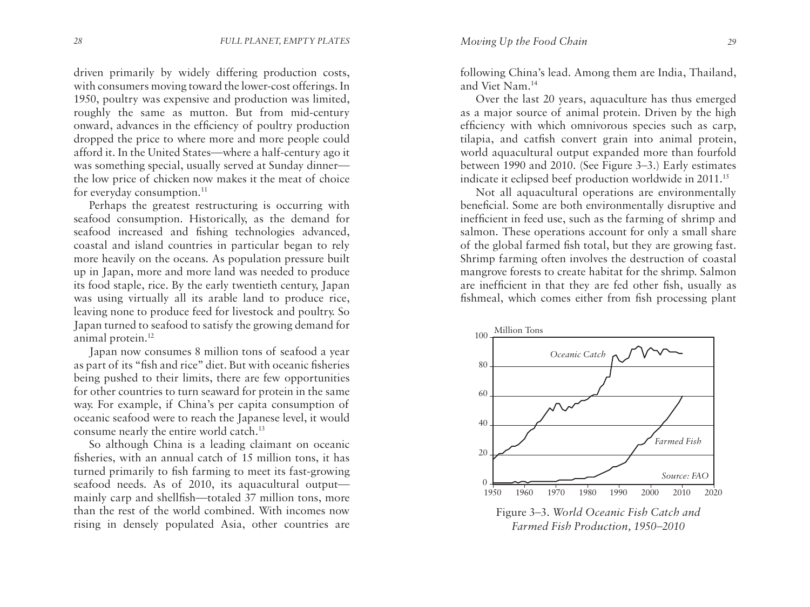driven primarily by widely differing production costs, with consumers moving toward the lower-cost offerings. In 1950, poultry was expensive and production was limited, roughly the same as mutton. But from mid-century onward, advances in the efficiency of poultry production dropped the price to where more and more people could afford it. In the United States—where a half-century ago it was something special, usually served at Sunday dinner the low price of chicken now makes it the meat of choice for everyday consumption.<sup>11</sup>

Perhaps the greatest restructuring is occurring with seafood consumption. Historically, as the demand for seafood increased and fishing technologies advanced, coastal and island countries in particular began to rely more heavily on the oceans. As population pressure built up in Japan, more and more land was needed to produce its food staple, rice. By the early twentieth century, Japan was using virtually all its arable land to produce rice, leaving none to produce feed for livestock and poultry. So Japan turned to seafood to satisfy the growing demand for animal protein.<sup>12</sup>

Japan now consumes 8 million tons of seafood a year as part of its "fish and rice" diet. But with oceanic fisheries being pushed to their limits, there are few opportunities for other countries to turn seaward for protein in the same way. For example, if China's per capita consumption of oceanic seafood were to reach the Japanese level, it would consume nearly the entire world catch.<sup>13</sup>

So although China is a leading claimant on oceanic fisheries, with an annual catch of 15 million tons, it has turned primarily to fish farming to meet its fast-growing seafood needs. As of 2010, its aquacultural output mainly carp and shellfish—totaled 37 million tons, more than the rest of the world combined. With incomes now rising in densely populated Asia, other countries are following China's lead. Among them are India, Thailand, and Viet Nam.14

Over the last 20 years, aquaculture has thus emerged as a major source of animal protein. Driven by the high efficiency with which omnivorous species such as carp, tilapia, and catfish convert grain into animal protein, world aquacultural output expanded more than fourfold between 1990 and 2010. (See Figure 3–3.) Early estimates indicate it eclipsed beef production worldwide in 2011.15

Not all aquacultural operations are environmentally beneficial. Some are both environmentally disruptive and inefficient in feed use, such as the farming of shrimp and salmon. These operations account for only a small share of the global farmed fish total, but they are growing fast. Shrimp farming often involves the destruction of coastal mangrove forests to create habitat for the shrimp. Salmon are inefficient in that they are fed other fish, usually as fishmeal, which comes either from fish processing plant

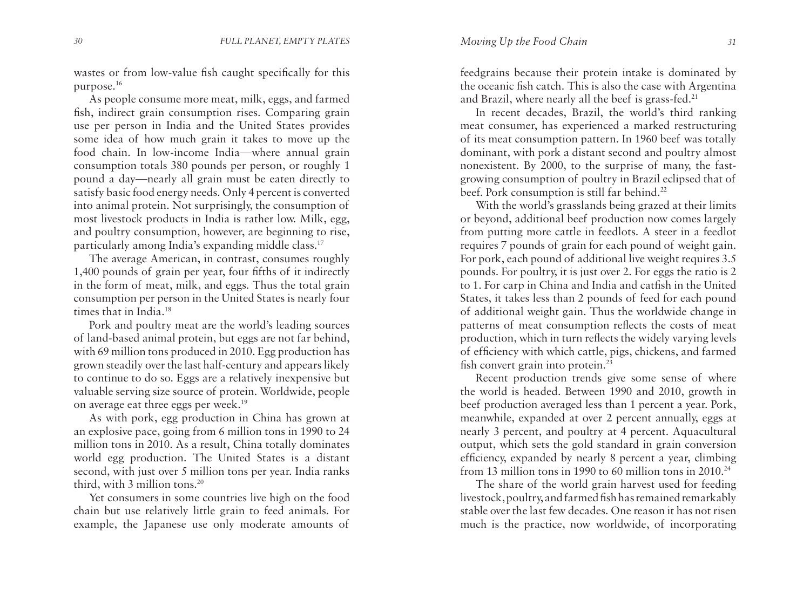wastes or from low-value fish caught specifically for this purpose.16

As people consume more meat, milk, eggs, and farmed fish, indirect grain consumption rises. Comparing grain use per person in India and the United States provides some idea of how much grain it takes to move up the food chain. In low-income India—where annual grain consumption totals 380 pounds per person, or roughly 1 pound a day—nearly all grain must be eaten directly to satisfy basic food energy needs. Only 4 percent is converted into animal protein. Not surprisingly, the consumption of most livestock products in India is rather low. Milk, egg, and poultry consumption, however, are beginning to rise, particularly among India's expanding middle class.17

The average American, in contrast, consumes roughly 1,400 pounds of grain per year, four fifths of it indirectly in the form of meat, milk, and eggs. Thus the total grain consumption per person in the United States is nearly four times that in India.18

Pork and poultry meat are the world's leading sources of land-based animal protein, but eggs are not far behind, with 69 million tons produced in 2010. Egg production has grown steadily over the last half-century and appears likely to continue to do so. Eggs are a relatively inexpensive but valuable serving size source of protein. Worldwide, people on average eat three eggs per week.19

As with pork, egg production in China has grown at an explosive pace, going from 6 million tons in 1990 to 24 million tons in 2010. As a result, China totally dominates world egg production. The United States is a distant second, with just over 5 million tons per year. India ranks third, with 3 million tons.<sup>20</sup>

Yet consumers in some countries live high on the food chain but use relatively little grain to feed animals. For example, the Japanese use only moderate amounts of

feedgrains because their protein intake is dominated by the oceanic fish catch. This is also the case with Argentina and Brazil, where nearly all the beef is grass-fed.<sup>21</sup>

In recent decades, Brazil, the world's third ranking meat consumer, has experienced a marked restructuring of its meat consumption pattern. In 1960 beef was totally dominant, with pork a distant second and poultry almost nonexistent. By 2000, to the surprise of many, the fastgrowing consumption of poultry in Brazil eclipsed that of beef. Pork consumption is still far behind.<sup>22</sup>

With the world's grasslands being grazed at their limits or beyond, additional beef production now comes largely from putting more cattle in feedlots. A steer in a feedlot requires 7 pounds of grain for each pound of weight gain. For pork, each pound of additional live weight requires 3.5 pounds. For poultry, it is just over 2. For eggs the ratio is 2 to 1. For carp in China and India and catfish in the United States, it takes less than 2 pounds of feed for each pound of additional weight gain. Thus the worldwide change in patterns of meat consumption reflects the costs of meat production, which in turn reflects the widely varying levels of efficiency with which cattle, pigs, chickens, and farmed fish convert grain into protein.<sup>23</sup>

Recent production trends give some sense of where the world is headed. Between 1990 and 2010, growth in beef production averaged less than 1 percent a year. Pork, meanwhile, expanded at over 2 percent annually, eggs at nearly 3 percent, and poultry at 4 percent. Aquacultural output, which sets the gold standard in grain conversion efficiency, expanded by nearly 8 percent a year, climbing from 13 million tons in 1990 to 60 million tons in 2010.24

The share of the world grain harvest used for feeding livestock, poultry, and farmed fish has remained remarkably stable over the last few decades. One reason it has not risen much is the practice, now worldwide, of incorporating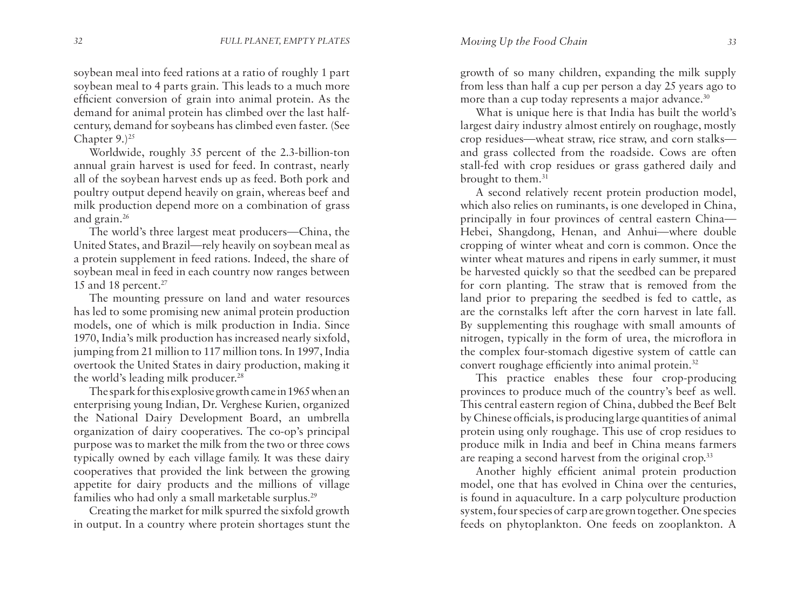soybean meal into feed rations at a ratio of roughly 1 part soybean meal to 4 parts grain. This leads to a much more efficient conversion of grain into animal protein. As the demand for animal protein has climbed over the last halfcentury, demand for soybeans has climbed even faster. (See Chapter  $9.2^{25}$ 

Worldwide, roughly 35 percent of the 2.3-billion-ton annual grain harvest is used for feed. In contrast, nearly all of the soybean harvest ends up as feed. Both pork and poultry output depend heavily on grain, whereas beef and milk production depend more on a combination of grass and grain.26

The world's three largest meat producers—China, the United States, and Brazil—rely heavily on soybean meal as a protein supplement in feed rations. Indeed, the share of soybean meal in feed in each country now ranges between 15 and 18 percent.<sup>27</sup>

The mounting pressure on land and water resources has led to some promising new animal protein production models, one of which is milk production in India. Since 1970, India's milk production has increased nearly sixfold, jumping from 21 million to 117 million tons. In 1997, India overtook the United States in dairy production, making it the world's leading milk producer.<sup>28</sup>

The spark for this explosive growth came in 1965 when an enterprising young Indian, Dr. Verghese Kurien, organized the National Dairy Development Board, an umbrella organization of dairy cooperatives. The co-op's principal purpose was to market the milk from the two or three cows typically owned by each village family. It was these dairy cooperatives that provided the link between the growing appetite for dairy products and the millions of village families who had only a small marketable surplus.<sup>29</sup>

Creating the market for milk spurred the sixfold growth in output. In a country where protein shortages stunt the growth of so many children, expanding the milk supply from less than half a cup per person a day 25 years ago to more than a cup today represents a major advance.<sup>30</sup>

What is unique here is that India has built the world's largest dairy industry almost entirely on roughage, mostly crop residues—wheat straw, rice straw, and corn stalks and grass collected from the roadside. Cows are often stall-fed with crop residues or grass gathered daily and brought to them.<sup>31</sup>

A second relatively recent protein production model, which also relies on ruminants, is one developed in China, principally in four provinces of central eastern China— Hebei, Shangdong, Henan, and Anhui—where double cropping of winter wheat and corn is common. Once the winter wheat matures and ripens in early summer, it must be harvested quickly so that the seedbed can be prepared for corn planting. The straw that is removed from the land prior to preparing the seedbed is fed to cattle, as are the cornstalks left after the corn harvest in late fall. By supplementing this roughage with small amounts of nitrogen, typically in the form of urea, the microflora in the complex four-stomach digestive system of cattle can convert roughage efficiently into animal protein.32

This practice enables these four crop-producing provinces to produce much of the country's beef as well. This central eastern region of China, dubbed the Beef Belt by Chinese officials, is producing large quantities of animal protein using only roughage. This use of crop residues to produce milk in India and beef in China means farmers are reaping a second harvest from the original crop.<sup>33</sup>

Another highly efficient animal protein production model, one that has evolved in China over the centuries, is found in aquaculture. In a carp polyculture production system, four species of carp are grown together. One species feeds on phytoplankton. One feeds on zooplankton. A